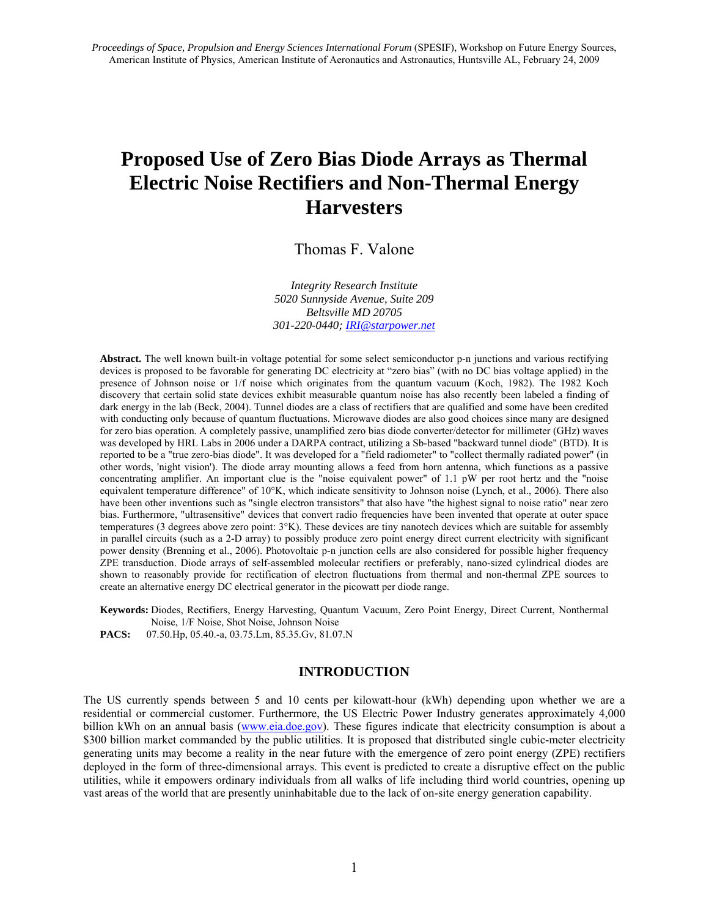# **Proposed Use of Zero Bias Diode Arrays as Thermal Electric Noise Rectifiers and Non-Thermal Energy Harvesters**

Thomas F. Valone

*Integrity Research Institute 5020 Sunnyside Avenue, Suite 209 Beltsville MD 20705 301-220-0440; IRI@starpower.net*

**Abstract.** The well known built-in voltage potential for some select semiconductor p-n junctions and various rectifying devices is proposed to be favorable for generating DC electricity at "zero bias" (with no DC bias voltage applied) in the presence of Johnson noise or 1/f noise which originates from the quantum vacuum (Koch, 1982). The 1982 Koch discovery that certain solid state devices exhibit measurable quantum noise has also recently been labeled a finding of dark energy in the lab (Beck, 2004). Tunnel diodes are a class of rectifiers that are qualified and some have been credited with conducting only because of quantum fluctuations. Microwave diodes are also good choices since many are designed for zero bias operation. A completely passive, unamplified zero bias diode converter/detector for millimeter (GHz) waves was developed by HRL Labs in 2006 under a DARPA contract, utilizing a Sb-based "backward tunnel diode" (BTD). It is reported to be a "true zero-bias diode". It was developed for a "field radiometer" to "collect thermally radiated power" (in other words, 'night vision'). The diode array mounting allows a feed from horn antenna, which functions as a passive concentrating amplifier. An important clue is the "noise equivalent power" of 1.1 pW per root hertz and the "noise equivalent temperature difference" of 10°K, which indicate sensitivity to Johnson noise (Lynch, et al., 2006). There also have been other inventions such as "single electron transistors" that also have "the highest signal to noise ratio" near zero bias. Furthermore, "ultrasensitive" devices that convert radio frequencies have been invented that operate at outer space temperatures (3 degrees above zero point: 3°K). These devices are tiny nanotech devices which are suitable for assembly in parallel circuits (such as a 2-D array) to possibly produce zero point energy direct current electricity with significant power density (Brenning et al., 2006). Photovoltaic p-n junction cells are also considered for possible higher frequency ZPE transduction. Diode arrays of self-assembled molecular rectifiers or preferably, nano-sized cylindrical diodes are shown to reasonably provide for rectification of electron fluctuations from thermal and non-thermal ZPE sources to create an alternative energy DC electrical generator in the picowatt per diode range.

**Keywords:** Diodes, Rectifiers, Energy Harvesting, Quantum Vacuum, Zero Point Energy, Direct Current, Nonthermal Noise, 1/F Noise, Shot Noise, Johnson Noise

**PACS:** 07.50.Hp, 05.40.-a, 03.75.Lm, 85.35.Gv, 81.07.N

## **INTRODUCTION**

The US currently spends between 5 and 10 cents per kilowatt-hour (kWh) depending upon whether we are a residential or commercial customer. Furthermore, the US Electric Power Industry generates approximately 4,000 billion kWh on an annual basis (www.eia.doe.gov). These figures indicate that electricity consumption is about a \$300 billion market commanded by the public utilities. It is proposed that distributed single cubic-meter electricity generating units may become a reality in the near future with the emergence of zero point energy (ZPE) rectifiers deployed in the form of three-dimensional arrays. This event is predicted to create a disruptive effect on the public utilities, while it empowers ordinary individuals from all walks of life including third world countries, opening up vast areas of the world that are presently uninhabitable due to the lack of on-site energy generation capability.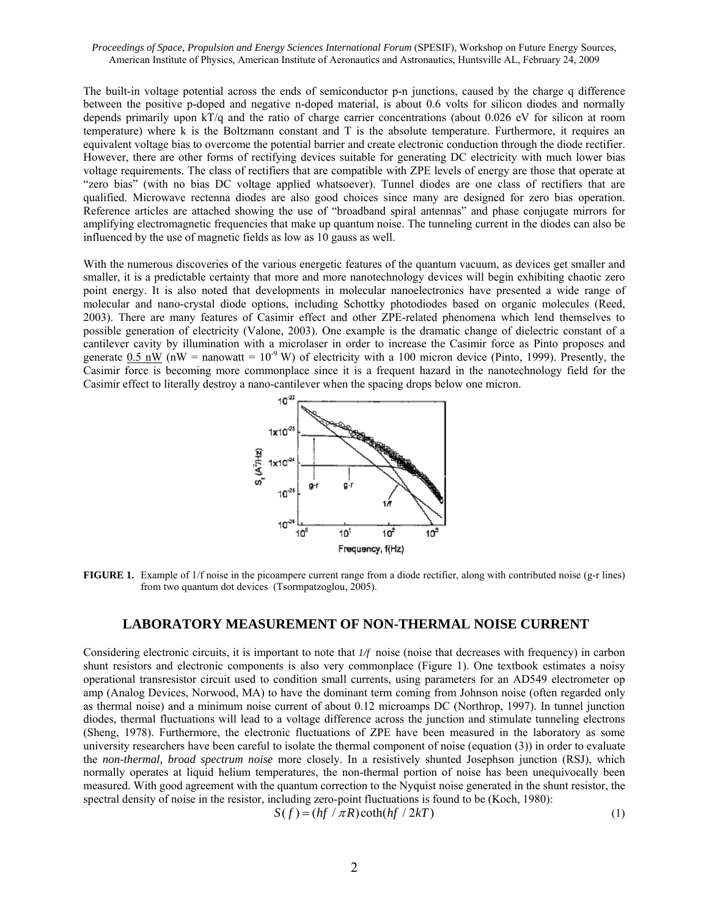The built-in voltage potential across the ends of semiconductor p-n junctions, caused by the charge q difference between the positive p-doped and negative n-doped material, is about 0.6 volts for silicon diodes and normally depends primarily upon kT/q and the ratio of charge carrier concentrations (about 0.026 eV for silicon at room temperature) where k is the Boltzmann constant and T is the absolute temperature. Furthermore, it requires an equivalent voltage bias to overcome the potential barrier and create electronic conduction through the diode rectifier. However, there are other forms of rectifying devices suitable for generating DC electricity with much lower bias voltage requirements. The class of rectifiers that are compatible with ZPE levels of energy are those that operate at "zero bias" (with no bias DC voltage applied whatsoever). Tunnel diodes are one class of rectifiers that are qualified. Microwave rectenna diodes are also good choices since many are designed for zero bias operation. Reference articles are attached showing the use of "broadband spiral antennas" and phase conjugate mirrors for amplifying electromagnetic frequencies that make up quantum noise. The tunneling current in the diodes can also be influenced by the use of magnetic fields as low as 10 gauss as well.

With the numerous discoveries of the various energetic features of the quantum vacuum, as devices get smaller and smaller, it is a predictable certainty that more and more nanotechnology devices will begin exhibiting chaotic zero point energy. It is also noted that developments in molecular nanoelectronics have presented a wide range of molecular and nano-crystal diode options, including Schottky photodiodes based on organic molecules (Reed, 2003). There are many features of Casimir effect and other ZPE-related phenomena which lend themselves to possible generation of electricity (Valone, 2003). One example is the dramatic change of dielectric constant of a cantilever cavity by illumination with a microlaser in order to increase the Casimir force as Pinto proposes and generate 0.5 nW (nW = nanowatt =  $10^{-9}$  W) of electricity with a 100 micron device (Pinto, 1999). Presently, the Casimir force is becoming more commonplace since it is a frequent hazard in the nanotechnology field for the Casimir effect to literally destroy a nano-cantilever when the spacing drops below one micron.



**FIGURE 1.** Example of 1/f noise in the picoampere current range from a diode rectifier, along with contributed noise (g-r lines) from two quantum dot devices (Tsormpatzoglou, 2005).

## **LABORATORY MEASUREMENT OF NON-THERMAL NOISE CURRENT**

Considering electronic circuits, it is important to note that *1/f* noise (noise that decreases with frequency) in carbon shunt resistors and electronic components is also very commonplace (Figure 1). One textbook estimates a noisy operational transresistor circuit used to condition small currents, using parameters for an AD549 electrometer op amp (Analog Devices, Norwood, MA) to have the dominant term coming from Johnson noise (often regarded only as thermal noise) and a minimum noise current of about 0.12 microamps DC (Northrop, 1997). In tunnel junction diodes, thermal fluctuations will lead to a voltage difference across the junction and stimulate tunneling electrons (Sheng, 1978). Furthermore, the electronic fluctuations of ZPE have been measured in the laboratory as some university researchers have been careful to isolate the thermal component of noise (equation (3)) in order to evaluate the *non-thermal, broad spectrum noise* more closely. In a resistively shunted Josephson junction (RSJ), which normally operates at liquid helium temperatures, the non-thermal portion of noise has been unequivocally been measured. With good agreement with the quantum correction to the Nyquist noise generated in the shunt resistor, the spectral density of noise in the resistor, including zero-point fluctuations is found to be (Koch, 1980):

$$
S(f) = (hf / \pi R) \coth(hf / 2kT)
$$
 (1)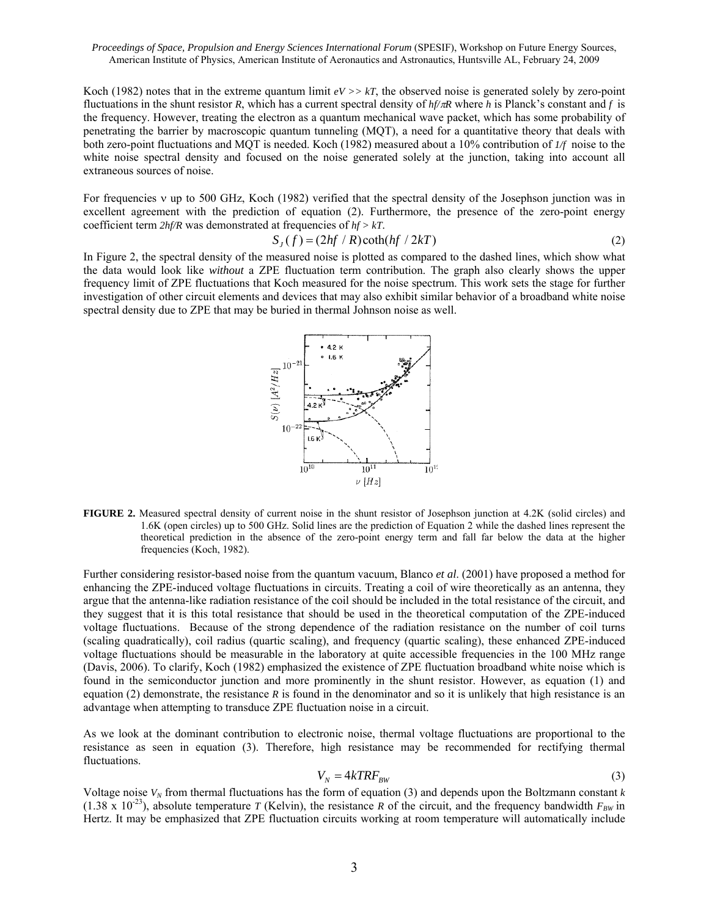Koch (1982) notes that in the extreme quantum limit *eV >> kT*, the observed noise is generated solely by zero-point fluctuations in the shunt resistor *R*, which has a current spectral density of *hf/*π*R* where *h* is Planck's constant and *f* is the frequency. However, treating the electron as a quantum mechanical wave packet, which has some probability of penetrating the barrier by macroscopic quantum tunneling (MQT), a need for a quantitative theory that deals with both zero-point fluctuations and MQT is needed. Koch (1982) measured about a 10% contribution of *1/f* noise to the white noise spectral density and focused on the noise generated solely at the junction, taking into account all extraneous sources of noise.

For frequencies ν up to 500 GHz, Koch (1982) verified that the spectral density of the Josephson junction was in excellent agreement with the prediction of equation (2). Furthermore, the presence of the zero-point energy coefficient term *2hf/R* was demonstrated at frequencies of *hf > kT*.

$$
S_J(f) = (2hf/R)\coth(hf/2kT)
$$
 (2)

In Figure 2, the spectral density of the measured noise is plotted as compared to the dashed lines, which show what the data would look like *without* a ZPE fluctuation term contribution. The graph also clearly shows the upper frequency limit of ZPE fluctuations that Koch measured for the noise spectrum. This work sets the stage for further investigation of other circuit elements and devices that may also exhibit similar behavior of a broadband white noise spectral density due to ZPE that may be buried in thermal Johnson noise as well.



**FIGURE 2.** Measured spectral density of current noise in the shunt resistor of Josephson junction at 4.2K (solid circles) and 1.6K (open circles) up to 500 GHz. Solid lines are the prediction of Equation 2 while the dashed lines represent the theoretical prediction in the absence of the zero-point energy term and fall far below the data at the higher frequencies (Koch, 1982).

Further considering resistor-based noise from the quantum vacuum, Blanco *et al*. (2001) have proposed a method for enhancing the ZPE-induced voltage fluctuations in circuits. Treating a coil of wire theoretically as an antenna, they argue that the antenna-like radiation resistance of the coil should be included in the total resistance of the circuit, and they suggest that it is this total resistance that should be used in the theoretical computation of the ZPE-induced voltage fluctuations. Because of the strong dependence of the radiation resistance on the number of coil turns (scaling quadratically), coil radius (quartic scaling), and frequency (quartic scaling), these enhanced ZPE-induced voltage fluctuations should be measurable in the laboratory at quite accessible frequencies in the 100 MHz range (Davis, 2006). To clarify, Koch (1982) emphasized the existence of ZPE fluctuation broadband white noise which is found in the semiconductor junction and more prominently in the shunt resistor. However, as equation (1) and equation (2) demonstrate, the resistance *R* is found in the denominator and so it is unlikely that high resistance is an advantage when attempting to transduce ZPE fluctuation noise in a circuit.

As we look at the dominant contribution to electronic noise, thermal voltage fluctuations are proportional to the resistance as seen in equation (3). Therefore, high resistance may be recommended for rectifying thermal fluctuations.

$$
V_N = 4kTRF_{BW} \tag{3}
$$

Voltage noise  $V_N$  from thermal fluctuations has the form of equation (3) and depends upon the Boltzmann constant  $k$  $(1.38 \times 10^{-23})$ , absolute temperature *T* (Kelvin), the resistance *R* of the circuit, and the frequency bandwidth  $F_{BW}$  in Hertz. It may be emphasized that ZPE fluctuation circuits working at room temperature will automatically include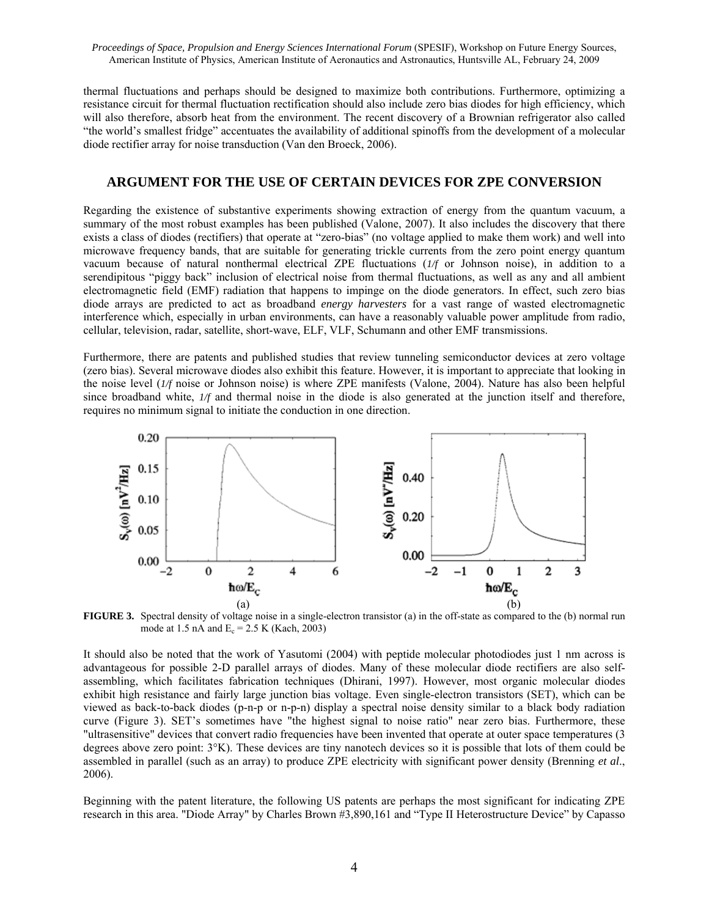thermal fluctuations and perhaps should be designed to maximize both contributions. Furthermore, optimizing a resistance circuit for thermal fluctuation rectification should also include zero bias diodes for high efficiency, which will also therefore, absorb heat from the environment. The recent discovery of a Brownian refrigerator also called "the world's smallest fridge" accentuates the availability of additional spinoffs from the development of a molecular diode rectifier array for noise transduction (Van den Broeck, 2006).

## **ARGUMENT FOR THE USE OF CERTAIN DEVICES FOR ZPE CONVERSION**

Regarding the existence of substantive experiments showing extraction of energy from the quantum vacuum, a summary of the most robust examples has been published (Valone, 2007). It also includes the discovery that there exists a class of diodes (rectifiers) that operate at "zero-bias" (no voltage applied to make them work) and well into microwave frequency bands, that are suitable for generating trickle currents from the zero point energy quantum vacuum because of natural nonthermal electrical ZPE fluctuations (*1/f* or Johnson noise), in addition to a serendipitous "piggy back" inclusion of electrical noise from thermal fluctuations, as well as any and all ambient electromagnetic field (EMF) radiation that happens to impinge on the diode generators. In effect, such zero bias diode arrays are predicted to act as broadband *energy harvesters* for a vast range of wasted electromagnetic interference which, especially in urban environments, can have a reasonably valuable power amplitude from radio, cellular, television, radar, satellite, short-wave, ELF, VLF, Schumann and other EMF transmissions.

Furthermore, there are patents and published studies that review tunneling semiconductor devices at zero voltage (zero bias). Several microwave diodes also exhibit this feature. However, it is important to appreciate that looking in the noise level (*1/f* noise or Johnson noise) is where ZPE manifests (Valone, 2004). Nature has also been helpful since broadband white, *1/f* and thermal noise in the diode is also generated at the junction itself and therefore, requires no minimum signal to initiate the conduction in one direction.



**FIGURE 3.** Spectral density of voltage noise in a single-electron transistor (a) in the off-state as compared to the (b) normal run mode at 1.5 nA and  $E_c = 2.5$  K (Kach, 2003)

It should also be noted that the work of Yasutomi (2004) with peptide molecular photodiodes just 1 nm across is advantageous for possible 2-D parallel arrays of diodes. Many of these molecular diode rectifiers are also selfassembling, which facilitates fabrication techniques (Dhirani, 1997). However, most organic molecular diodes exhibit high resistance and fairly large junction bias voltage. Even single-electron transistors (SET), which can be viewed as back-to-back diodes (p-n-p or n-p-n) display a spectral noise density similar to a black body radiation curve (Figure 3). SET's sometimes have "the highest signal to noise ratio" near zero bias. Furthermore, these "ultrasensitive" devices that convert radio frequencies have been invented that operate at outer space temperatures (3 degrees above zero point: 3°K). These devices are tiny nanotech devices so it is possible that lots of them could be assembled in parallel (such as an array) to produce ZPE electricity with significant power density (Brenning *et al*., 2006).

Beginning with the patent literature, the following US patents are perhaps the most significant for indicating ZPE research in this area. "Diode Array" by Charles Brown #3,890,161 and "Type II Heterostructure Device" by Capasso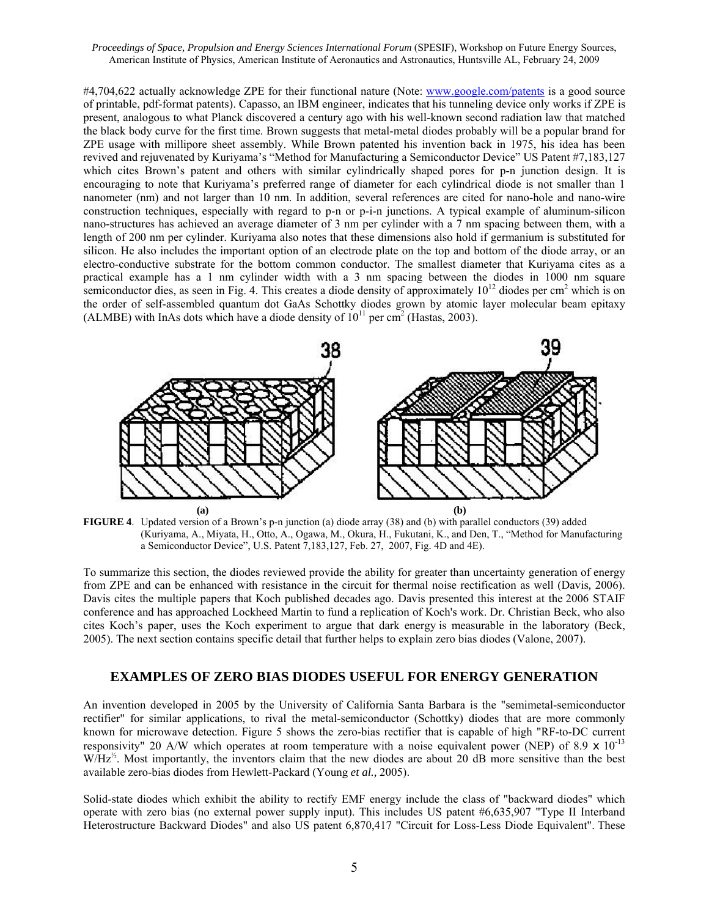#4,704,622 actually acknowledge ZPE for their functional nature (Note: www.google.com/patents is a good source of printable, pdf-format patents). Capasso, an IBM engineer, indicates that his tunneling device only works if ZPE is present, analogous to what Planck discovered a century ago with his well-known second radiation law that matched the black body curve for the first time. Brown suggests that metal-metal diodes probably will be a popular brand for ZPE usage with millipore sheet assembly. While Brown patented his invention back in 1975, his idea has been revived and rejuvenated by Kuriyama's "Method for Manufacturing a Semiconductor Device" US Patent #7,183,127 which cites Brown's patent and others with similar cylindrically shaped pores for p-n junction design. It is encouraging to note that Kuriyama's preferred range of diameter for each cylindrical diode is not smaller than 1 nanometer (nm) and not larger than 10 nm. In addition, several references are cited for nano-hole and nano-wire construction techniques, especially with regard to p-n or p-i-n junctions. A typical example of aluminum-silicon nano-structures has achieved an average diameter of 3 nm per cylinder with a 7 nm spacing between them, with a length of 200 nm per cylinder. Kuriyama also notes that these dimensions also hold if germanium is substituted for silicon. He also includes the important option of an electrode plate on the top and bottom of the diode array, or an electro-conductive substrate for the bottom common conductor. The smallest diameter that Kuriyama cites as a practical example has a 1 nm cylinder width with a 3 nm spacing between the diodes in 1000 nm square semiconductor dies, as seen in Fig. 4. This creates a diode density of approximately  $10^{12}$  diodes per cm<sup>2</sup> which is on the order of self-assembled quantum dot GaAs Schottky diodes grown by atomic layer molecular beam epitaxy (ALMBE) with InAs dots which have a diode density of  $10^{11}$  per cm<sup>2</sup> (Hastas, 2003).



**FIGURE 4**. Updated version of a Brown's p-n junction (a) diode array (38) and (b) with parallel conductors (39) added (Kuriyama, A., Miyata, H., Otto, A., Ogawa, M., Okura, H., Fukutani, K., and Den, T., "Method for Manufacturing a Semiconductor Device", U.S. Patent 7,183,127, Feb. 27, 2007, Fig. 4D and 4E).

To summarize this section, the diodes reviewed provide the ability for greater than uncertainty generation of energy from ZPE and can be enhanced with resistance in the circuit for thermal noise rectification as well (Davis*,* 2006). Davis cites the multiple papers that Koch published decades ago. Davis presented this interest at the 2006 STAIF conference and has approached Lockheed Martin to fund a replication of Koch's work. Dr. Christian Beck, who also cites Koch's paper, uses the Koch experiment to argue that dark energy is measurable in the laboratory (Beck, 2005). The next section contains specific detail that further helps to explain zero bias diodes (Valone, 2007).

### **EXAMPLES OF ZERO BIAS DIODES USEFUL FOR ENERGY GENERATION**

An invention developed in 2005 by the University of California Santa Barbara is the "semimetal-semiconductor rectifier" for similar applications, to rival the metal-semiconductor (Schottky) diodes that are more commonly known for microwave detection. Figure 5 shows the zero-bias rectifier that is capable of high "RF-to-DC current responsivity" 20 A/W which operates at room temperature with a noise equivalent power (NEP) of 8.9  $\times$  10<sup>-13</sup> W/Hz<sup>1/2</sup>. Most importantly, the inventors claim that the new diodes are about 20 dB more sensitive than the best available zero-bias diodes from Hewlett-Packard (Young *et al.,* 2005).

Solid-state diodes which exhibit the ability to rectify EMF energy include the class of "backward diodes" which operate with zero bias (no external power supply input). This includes US patent #6,635,907 "Type II Interband Heterostructure Backward Diodes" and also US patent 6,870,417 "Circuit for Loss-Less Diode Equivalent". These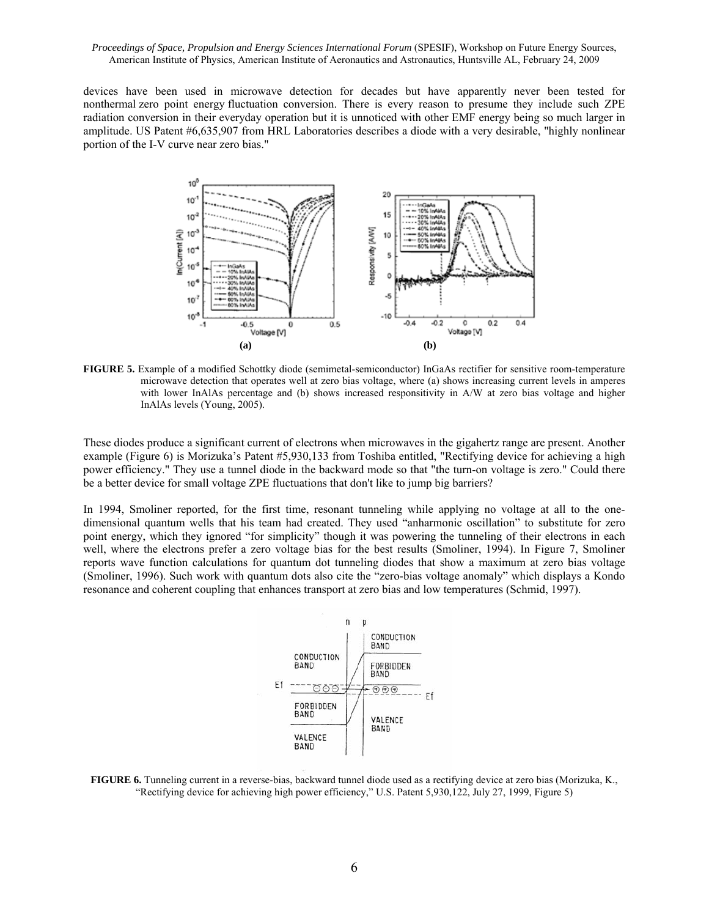devices have been used in microwave detection for decades but have apparently never been tested for nonthermal zero point energy fluctuation conversion. There is every reason to presume they include such ZPE radiation conversion in their everyday operation but it is unnoticed with other EMF energy being so much larger in amplitude. US Patent #6,635,907 from HRL Laboratories describes a diode with a very desirable, "highly nonlinear portion of the I-V curve near zero bias."



**FIGURE 5.** Example of a modified Schottky diode (semimetal-semiconductor) InGaAs rectifier for sensitive room-temperature microwave detection that operates well at zero bias voltage, where (a) shows increasing current levels in amperes with lower InAlAs percentage and (b) shows increased responsitivity in A/W at zero bias voltage and higher InAlAs levels (Young, 2005).

These diodes produce a significant current of electrons when microwaves in the gigahertz range are present. Another example (Figure 6) is Morizuka's Patent #5,930,133 from Toshiba entitled, "Rectifying device for achieving a high power efficiency." They use a tunnel diode in the backward mode so that "the turn-on voltage is zero." Could there be a better device for small voltage ZPE fluctuations that don't like to jump big barriers?

In 1994, Smoliner reported, for the first time, resonant tunneling while applying no voltage at all to the onedimensional quantum wells that his team had created. They used "anharmonic oscillation" to substitute for zero point energy, which they ignored "for simplicity" though it was powering the tunneling of their electrons in each well, where the electrons prefer a zero voltage bias for the best results (Smoliner, 1994). In Figure 7, Smoliner reports wave function calculations for quantum dot tunneling diodes that show a maximum at zero bias voltage (Smoliner, 1996). Such work with quantum dots also cite the "zero-bias voltage anomaly" which displays a Kondo resonance and coherent coupling that enhances transport at zero bias and low temperatures (Schmid, 1997).



**FIGURE 6.** Tunneling current in a reverse-bias, backward tunnel diode used as a rectifying device at zero bias (Morizuka, K., "Rectifying device for achieving high power efficiency," U.S. Patent 5,930,122, July 27, 1999, Figure 5)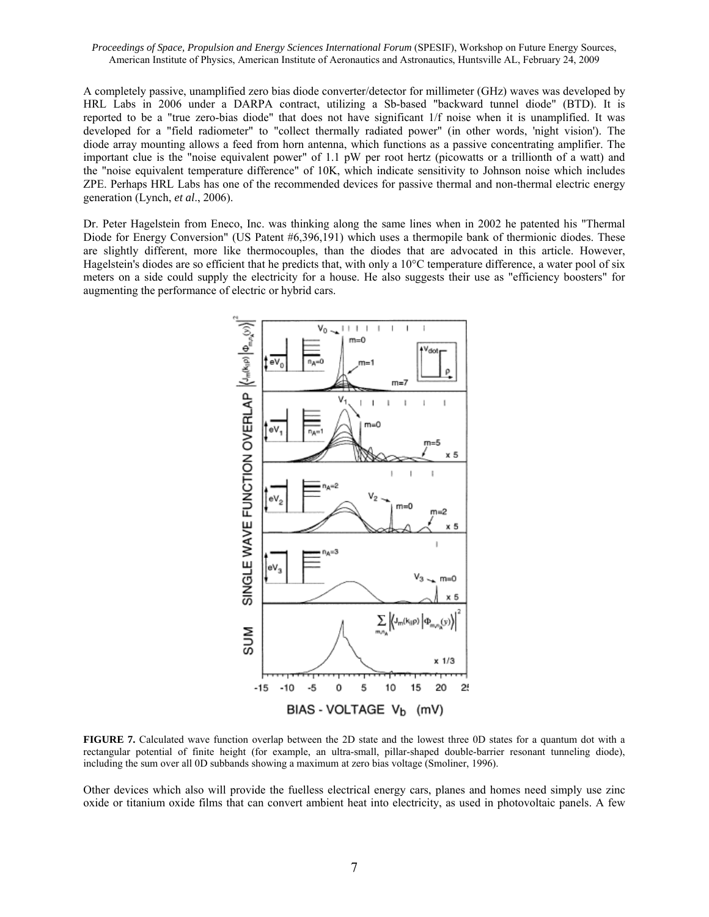A completely passive, unamplified zero bias diode converter/detector for millimeter (GHz) waves was developed by HRL Labs in 2006 under a DARPA contract, utilizing a Sb-based "backward tunnel diode" (BTD). It is reported to be a "true zero-bias diode" that does not have significant 1/f noise when it is unamplified. It was developed for a "field radiometer" to "collect thermally radiated power" (in other words, 'night vision'). The diode array mounting allows a feed from horn antenna, which functions as a passive concentrating amplifier. The important clue is the "noise equivalent power" of 1.1 pW per root hertz (picowatts or a trillionth of a watt) and the "noise equivalent temperature difference" of 10K, which indicate sensitivity to Johnson noise which includes ZPE. Perhaps HRL Labs has one of the recommended devices for passive thermal and non-thermal electric energy generation (Lynch, *et al*., 2006).

Dr. Peter Hagelstein from Eneco, Inc. was thinking along the same lines when in 2002 he patented his "Thermal Diode for Energy Conversion" (US Patent #6,396,191) which uses a thermopile bank of thermionic diodes. These are slightly different, more like thermocouples, than the diodes that are advocated in this article. However, Hagelstein's diodes are so efficient that he predicts that, with only a  $10^{\circ}$ C temperature difference, a water pool of six meters on a side could supply the electricity for a house. He also suggests their use as "efficiency boosters" for augmenting the performance of electric or hybrid cars.



**FIGURE 7.** Calculated wave function overlap between the 2D state and the lowest three 0D states for a quantum dot with a rectangular potential of finite height (for example, an ultra-small, pillar-shaped double-barrier resonant tunneling diode), including the sum over all 0D subbands showing a maximum at zero bias voltage (Smoliner, 1996).

Other devices which also will provide the fuelless electrical energy cars, planes and homes need simply use zinc oxide or titanium oxide films that can convert ambient heat into electricity, as used in photovoltaic panels. A few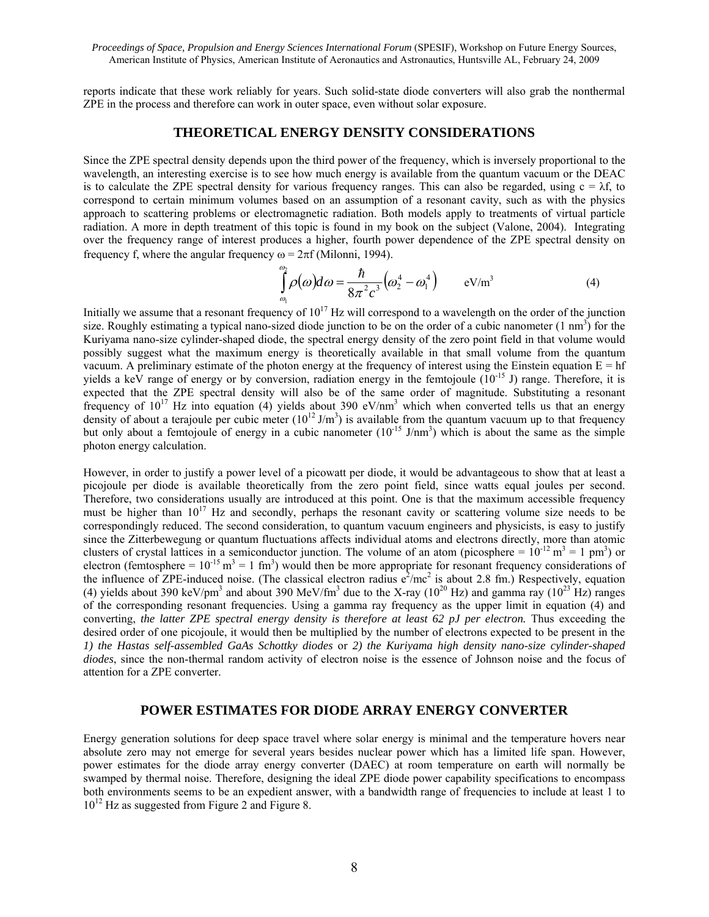reports indicate that these work reliably for years. Such solid-state diode converters will also grab the nonthermal ZPE in the process and therefore can work in outer space, even without solar exposure.

#### **THEORETICAL ENERGY DENSITY CONSIDERATIONS**

Since the ZPE spectral density depends upon the third power of the frequency, which is inversely proportional to the wavelength, an interesting exercise is to see how much energy is available from the quantum vacuum or the DEAC is to calculate the ZPE spectral density for various frequency ranges. This can also be regarded, using  $c = \lambda f$ , to correspond to certain minimum volumes based on an assumption of a resonant cavity, such as with the physics approach to scattering problems or electromagnetic radiation. Both models apply to treatments of virtual particle radiation. A more in depth treatment of this topic is found in my book on the subject (Valone, 2004). Integrating over the frequency range of interest produces a higher, fourth power dependence of the ZPE spectral density on frequency f, where the angular frequency  $\omega = 2\pi f$  (Milonni, 1994).

$$
\int_{\omega_0}^{\omega_2} \rho(\omega) d\omega = \frac{\hbar}{8\pi^2 c^3} \left(\omega_2^4 - \omega_1^4\right) \qquad \text{eV/m}^3 \tag{4}
$$

Initially we assume that a resonant frequency of  $10^{17}$  Hz will correspond to a wavelength on the order of the junction size. Roughly estimating a typical nano-sized diode junction to be on the order of a cubic nanometer  $(1 \text{ nm}^3)$  for the Kuriyama nano-size cylinder-shaped diode, the spectral energy density of the zero point field in that volume would possibly suggest what the maximum energy is theoretically available in that small volume from the quantum vacuum. A preliminary estimate of the photon energy at the frequency of interest using the Einstein equation  $E = hf$ yields a keV range of energy or by conversion, radiation energy in the femtojoule  $(10^{-15}$  J) range. Therefore, it is expected that the ZPE spectral density will also be of the same order of magnitude. Substituting a resonant frequency of  $10^{17}$  Hz into equation (4) yields about 390 eV/nm<sup>3</sup> which when converted tells us that an energy density of about a terajoule per cubic meter  $(10^{12} J/m<sup>3</sup>)$  is available from the quantum vacuum up to that frequency but only about a femtojoule of energy in a cubic nanometer  $(10^{-15}$  J/nm<sup>3</sup>) which is about the same as the simple photon energy calculation.

However, in order to justify a power level of a picowatt per diode, it would be advantageous to show that at least a picojoule per diode is available theoretically from the zero point field, since watts equal joules per second. Therefore, two considerations usually are introduced at this point. One is that the maximum accessible frequency must be higher than  $10^{17}$  Hz and secondly, perhaps the resonant cavity or scattering volume size needs to be correspondingly reduced. The second consideration, to quantum vacuum engineers and physicists, is easy to justify since the Zitterbewegung or quantum fluctuations affects individual atoms and electrons directly, more than atomic clusters of crystal lattices in a semiconductor junction. The volume of an atom (picosphere =  $10^{-12}$  m<sup>3</sup> = 1 pm<sup>3</sup>) or electron (femtosphere =  $10^{-15}$  m<sup>3</sup> = 1 fm<sup>3</sup>) would then be more appropriate for resonant frequency considerations of the influence of ZPE-induced noise. (The classical electron radius  $e^2/mc^2$  is about 2.8 fm.) Respectively, equation (4) yields about 390 keV/pm<sup>3</sup> and about 390 MeV/fm<sup>3</sup> due to the X-ray ( $10^{20}$  Hz) and gamma ray ( $10^{23}$  Hz) ranges of the corresponding resonant frequencies. Using a gamma ray frequency as the upper limit in equation (4) and converting, *the latter ZPE spectral energy density is therefore at least 62 pJ per electron.* Thus exceeding the desired order of one picojoule, it would then be multiplied by the number of electrons expected to be present in the *1) the Hastas self-assembled GaAs Schottky diodes* or *2) the Kuriyama high density nano-size cylinder-shaped diodes*, since the non-thermal random activity of electron noise is the essence of Johnson noise and the focus of attention for a ZPE converter.

#### **POWER ESTIMATES FOR DIODE ARRAY ENERGY CONVERTER**

Energy generation solutions for deep space travel where solar energy is minimal and the temperature hovers near absolute zero may not emerge for several years besides nuclear power which has a limited life span. However, power estimates for the diode array energy converter (DAEC) at room temperature on earth will normally be swamped by thermal noise. Therefore, designing the ideal ZPE diode power capability specifications to encompass both environments seems to be an expedient answer, with a bandwidth range of frequencies to include at least 1 to  $10^{12}$  Hz as suggested from Figure 2 and Figure 8.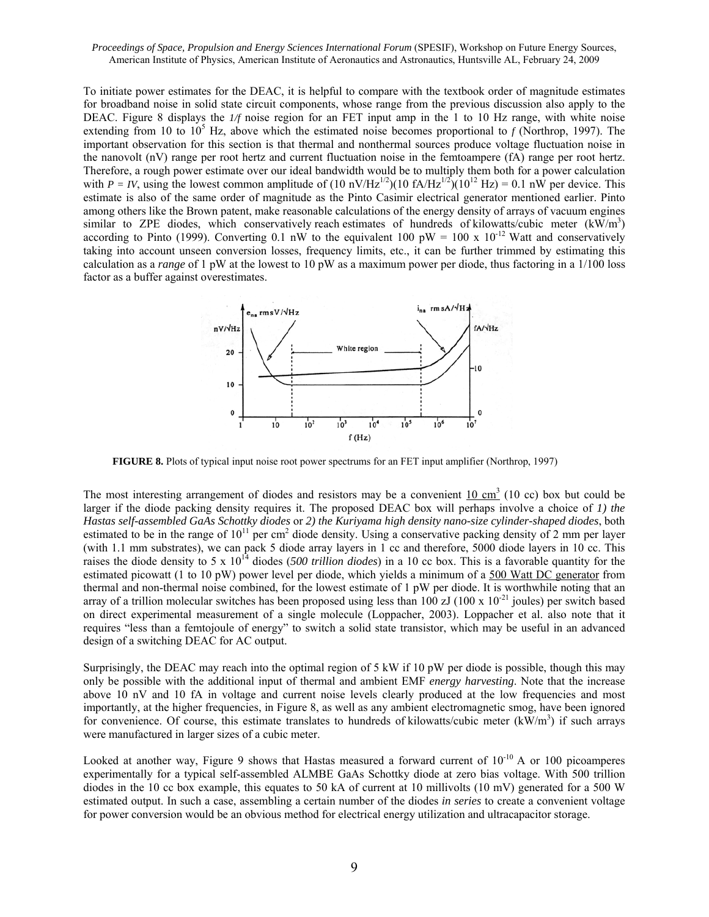To initiate power estimates for the DEAC, it is helpful to compare with the textbook order of magnitude estimates for broadband noise in solid state circuit components, whose range from the previous discussion also apply to the DEAC. Figure 8 displays the *1/f* noise region for an FET input amp in the 1 to 10 Hz range, with white noise extending from 10 to  $10^5$  Hz, above which the estimated noise becomes proportional to  $f$  (Northrop, 1997). The important observation for this section is that thermal and nonthermal sources produce voltage fluctuation noise in the nanovolt (nV) range per root hertz and current fluctuation noise in the femtoampere (fA) range per root hertz. Therefore, a rough power estimate over our ideal bandwidth would be to multiply them both for a power calculation with  $P = IV$ , using the lowest common amplitude of  $(10 \text{ nV/Hz}^{1/2})(10 \text{ fA/Hz}^{1/2})(10^{12} \text{ Hz}) = 0.1 \text{ nW}$  per device. This estimate is also of the same order of magnitude as the Pinto Casimir electrical generator mentioned earlier. Pinto among others like the Brown patent, make reasonable calculations of the energy density of arrays of vacuum engines similar to ZPE diodes, which conservatively reach estimates of hundreds of kilowatts/cubic meter  $(kW/m<sup>3</sup>)$ according to Pinto (1999). Converting 0.1 nW to the equivalent 100 pW = 100 x 10<sup>-12</sup> Watt and conservatively taking into account unseen conversion losses, frequency limits, etc., it can be further trimmed by estimating this calculation as a *range* of 1 pW at the lowest to 10 pW as a maximum power per diode, thus factoring in a 1/100 loss factor as a buffer against overestimates.



**FIGURE 8.** Plots of typical input noise root power spectrums for an FET input amplifier (Northrop, 1997)

The most interesting arrangement of diodes and resistors may be a convenient  $10 \text{ cm}^3$  (10 cc) box but could be larger if the diode packing density requires it. The proposed DEAC box will perhaps involve a choice of *1) the Hastas self-assembled GaAs Schottky diodes* or *2) the Kuriyama high density nano-size cylinder-shaped diodes*, both estimated to be in the range of  $10^{11}$  per cm<sup>2</sup> diode density. Using a conservative packing density of 2 mm per layer (with 1.1 mm substrates), we can pack 5 diode array layers in 1 cc and therefore, 5000 diode layers in 10 cc. This raises the diode density to 5 x  $10^{14}$  diodes (500 *trillion diodes*) in a 10 cc box. This is a favorable quantity for the estimated picowatt (1 to 10 pW) power level per diode, which yields a minimum of a 500 Watt DC generator from thermal and non-thermal noise combined, for the lowest estimate of 1 pW per diode. It is worthwhile noting that an array of a trillion molecular switches has been proposed using less than 100  $z$ J (100 x 10<sup>-21</sup> joules) per switch based on direct experimental measurement of a single molecule (Loppacher, 2003). Loppacher et al. also note that it requires "less than a femtojoule of energy" to switch a solid state transistor, which may be useful in an advanced design of a switching DEAC for AC output.

Surprisingly, the DEAC may reach into the optimal region of 5 kW if 10 pW per diode is possible, though this may only be possible with the additional input of thermal and ambient EMF *energy harvesting*. Note that the increase above 10 nV and 10 fA in voltage and current noise levels clearly produced at the low frequencies and most importantly, at the higher frequencies, in Figure 8, as well as any ambient electromagnetic smog, have been ignored for convenience. Of course, this estimate translates to hundreds of kilowatts/cubic meter  $(kW/m<sup>3</sup>)$  if such arrays were manufactured in larger sizes of a cubic meter.

Looked at another way, Figure 9 shows that Hastas measured a forward current of  $10^{-10}$  A or 100 picoamperes experimentally for a typical self-assembled ALMBE GaAs Schottky diode at zero bias voltage. With 500 trillion diodes in the 10 cc box example, this equates to 50 kA of current at 10 millivolts (10 mV) generated for a 500 W estimated output. In such a case, assembling a certain number of the diodes *in series* to create a convenient voltage for power conversion would be an obvious method for electrical energy utilization and ultracapacitor storage.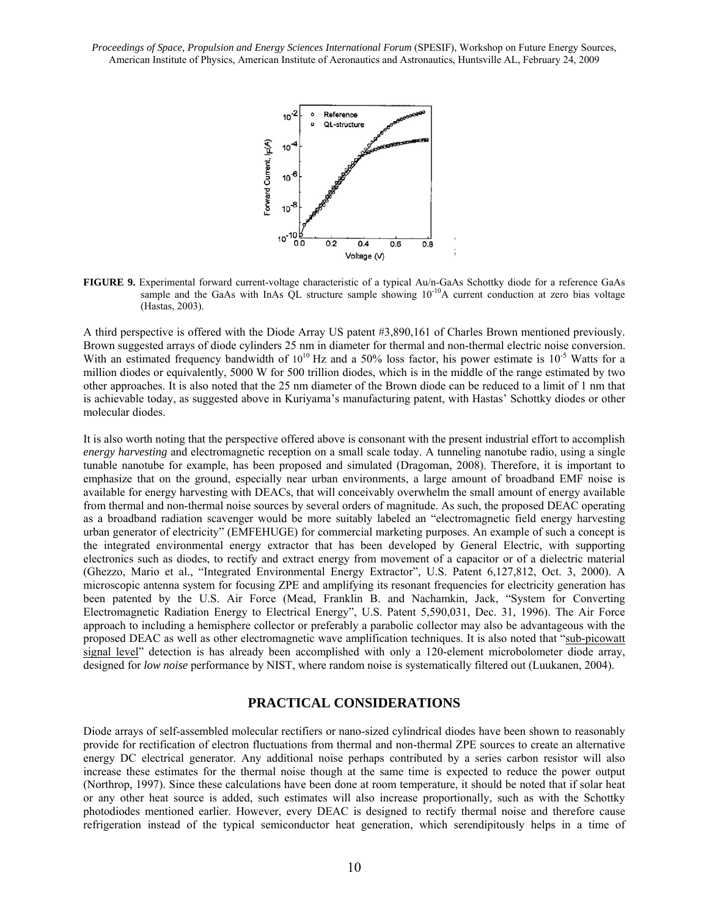

**FIGURE 9.** Experimental forward current-voltage characteristic of a typical Au/n-GaAs Schottky diode for a reference GaAs sample and the GaAs with InAs  $\overline{QL}$  structure sample showing  $10^{-10}$ A current conduction at zero bias voltage (Hastas, 2003).

A third perspective is offered with the Diode Array US patent #3,890,161 of Charles Brown mentioned previously. Brown suggested arrays of diode cylinders 25 nm in diameter for thermal and non-thermal electric noise conversion. With an estimated frequency bandwidth of  $10^{10}$  Hz and a 50% loss factor, his power estimate is  $10^{-5}$  Watts for a million diodes or equivalently, 5000 W for 500 trillion diodes, which is in the middle of the range estimated by two other approaches. It is also noted that the 25 nm diameter of the Brown diode can be reduced to a limit of 1 nm that is achievable today, as suggested above in Kuriyama's manufacturing patent, with Hastas' Schottky diodes or other molecular diodes.

It is also worth noting that the perspective offered above is consonant with the present industrial effort to accomplish *energy harvesting* and electromagnetic reception on a small scale today. A tunneling nanotube radio, using a single tunable nanotube for example, has been proposed and simulated (Dragoman, 2008). Therefore, it is important to emphasize that on the ground, especially near urban environments, a large amount of broadband EMF noise is available for energy harvesting with DEACs, that will conceivably overwhelm the small amount of energy available from thermal and non-thermal noise sources by several orders of magnitude. As such, the proposed DEAC operating as a broadband radiation scavenger would be more suitably labeled an "electromagnetic field energy harvesting urban generator of electricity" (EMFEHUGE) for commercial marketing purposes. An example of such a concept is the integrated environmental energy extractor that has been developed by General Electric, with supporting electronics such as diodes, to rectify and extract energy from movement of a capacitor or of a dielectric material (Ghezzo, Mario et al., "Integrated Environmental Energy Extractor", U.S. Patent 6,127,812, Oct. 3, 2000). A microscopic antenna system for focusing ZPE and amplifying its resonant frequencies for electricity generation has been patented by the U.S. Air Force (Mead, Franklin B. and Nachamkin, Jack, "System for Converting Electromagnetic Radiation Energy to Electrical Energy", U.S. Patent 5,590,031, Dec. 31, 1996). The Air Force approach to including a hemisphere collector or preferably a parabolic collector may also be advantageous with the proposed DEAC as well as other electromagnetic wave amplification techniques. It is also noted that "sub-picowatt signal level" detection is has already been accomplished with only a 120-element microbolometer diode array, designed for *low noise* performance by NIST, where random noise is systematically filtered out (Luukanen, 2004).

## **PRACTICAL CONSIDERATIONS**

Diode arrays of self-assembled molecular rectifiers or nano-sized cylindrical diodes have been shown to reasonably provide for rectification of electron fluctuations from thermal and non-thermal ZPE sources to create an alternative energy DC electrical generator. Any additional noise perhaps contributed by a series carbon resistor will also increase these estimates for the thermal noise though at the same time is expected to reduce the power output (Northrop, 1997). Since these calculations have been done at room temperature, it should be noted that if solar heat or any other heat source is added, such estimates will also increase proportionally, such as with the Schottky photodiodes mentioned earlier. However, every DEAC is designed to rectify thermal noise and therefore cause refrigeration instead of the typical semiconductor heat generation, which serendipitously helps in a time of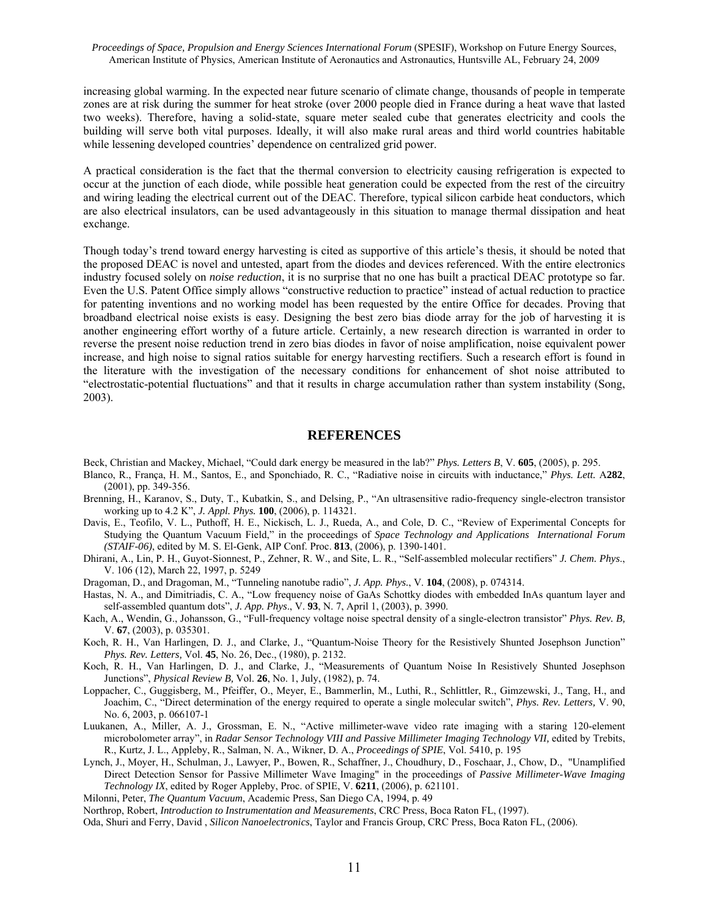increasing global warming. In the expected near future scenario of climate change, thousands of people in temperate zones are at risk during the summer for heat stroke (over 2000 people died in France during a heat wave that lasted two weeks). Therefore, having a solid-state, square meter sealed cube that generates electricity and cools the building will serve both vital purposes. Ideally, it will also make rural areas and third world countries habitable while lessening developed countries' dependence on centralized grid power.

A practical consideration is the fact that the thermal conversion to electricity causing refrigeration is expected to occur at the junction of each diode, while possible heat generation could be expected from the rest of the circuitry and wiring leading the electrical current out of the DEAC. Therefore, typical silicon carbide heat conductors, which are also electrical insulators, can be used advantageously in this situation to manage thermal dissipation and heat exchange.

Though today's trend toward energy harvesting is cited as supportive of this article's thesis, it should be noted that the proposed DEAC is novel and untested, apart from the diodes and devices referenced. With the entire electronics industry focused solely on *noise reduction*, it is no surprise that no one has built a practical DEAC prototype so far. Even the U.S. Patent Office simply allows "constructive reduction to practice" instead of actual reduction to practice for patenting inventions and no working model has been requested by the entire Office for decades. Proving that broadband electrical noise exists is easy. Designing the best zero bias diode array for the job of harvesting it is another engineering effort worthy of a future article. Certainly, a new research direction is warranted in order to reverse the present noise reduction trend in zero bias diodes in favor of noise amplification, noise equivalent power increase, and high noise to signal ratios suitable for energy harvesting rectifiers. Such a research effort is found in the literature with the investigation of the necessary conditions for enhancement of shot noise attributed to "electrostatic-potential fluctuations" and that it results in charge accumulation rather than system instability (Song, 2003).

#### **REFERENCES**

Beck, Christian and Mackey, Michael, "Could dark energy be measured in the lab?" *Phys. Letters B*, V. **605**, (2005), p. 295.

- Blanco, R., França, H. M., Santos, E., and Sponchiado, R. C., "Radiative noise in circuits with inductance," *Phys. Lett.* A**282**, (2001), pp. 349-356.
- Brenning, H., Karanov, S., Duty, T., Kubatkin, S., and Delsing, P., "An ultrasensitive radio-frequency single-electron transistor working up to 4.2 K", *J. Appl. Phys.* **100**, (2006), p. 114321.
- Davis, E., Teofilo, V. L., Puthoff, H. E., Nickisch, L. J., Rueda, A., and Cole, D. C., "Review of Experimental Concepts for Studying the Quantum Vacuum Field," in the proceedings of *Space Technology and Applications International Forum (STAIF-06)*, edited by M. S. El-Genk, AIP Conf. Proc. **813**, (2006), p. 1390-1401.
- Dhirani, A., Lin, P. H., Guyot-Sionnest, P., Zehner, R. W., and Site, L. R., "Self-assembled molecular rectifiers" *J. Chem. Phys*., V. 106 (12), March 22, 1997, p. 5249
- Dragoman, D., and Dragoman, M., "Tunneling nanotube radio", *J. App. Phys.*, V. **104**, (2008), p. 074314.
- Hastas, N. A., and Dimitriadis, C. A., "Low frequency noise of GaAs Schottky diodes with embedded InAs quantum layer and self-assembled quantum dots", *J. App. Phys*., V. **93**, N. 7, April 1, (2003), p. 3990.
- Kach, A., Wendin, G., Johansson, G., "Full-frequency voltage noise spectral density of a single-electron transistor" *Phys. Rev. B,* V. **67**, (2003), p. 035301.
- Koch, R. H., Van Harlingen, D. J., and Clarke, J., "Quantum-Noise Theory for the Resistively Shunted Josephson Junction" *Phys. Rev. Letters,* Vol. **45**, No. 26, Dec., (1980), p. 2132.
- Koch, R. H., Van Harlingen, D. J., and Clarke, J., "Measurements of Quantum Noise In Resistively Shunted Josephson Junctions", *Physical Review B,* Vol. **26**, No. 1, July, (1982), p. 74.
- Loppacher, C., Guggisberg, M., Pfeiffer, O., Meyer, E., Bammerlin, M., Luthi, R., Schlittler, R., Gimzewski, J., Tang, H., and Joachim, C., "Direct determination of the energy required to operate a single molecular switch", *Phys. Rev. Letters,* V. 90, No. 6, 2003, p. 066107-1
- Luukanen, A., Miller, A. J., Grossman, E. N., "Active millimeter-wave video rate imaging with a staring 120-element microbolometer array", in *Radar Sensor Technology VIII and Passive Millimeter Imaging Technology VII,* edited by Trebits, R., Kurtz, J. L., Appleby, R., Salman, N. A., Wikner, D. A., *Proceedings of SPIE*, Vol. 5410, p. 195
- Lynch, J., Moyer, H., Schulman, J., Lawyer, P., Bowen, R., Schaffner, J., Choudhury, D., Foschaar, J., Chow, D., "Unamplified Direct Detection Sensor for Passive Millimeter Wave Imaging" in the proceedings of *Passive Millimeter-Wave Imaging Technology IX*, edited by Roger Appleby, Proc. of SPIE, V. **6211**, (2006), p. 621101.
- Milonni, Peter, *The Quantum Vacuum*, Academic Press, San Diego CA, 1994, p. 49
- Northrop, Robert, *Introduction to Instrumentation and Measurements*, CRC Press, Boca Raton FL, (1997).

Oda, Shuri and Ferry, David , *Silicon Nanoelectronics*, Taylor and Francis Group, CRC Press, Boca Raton FL, (2006).